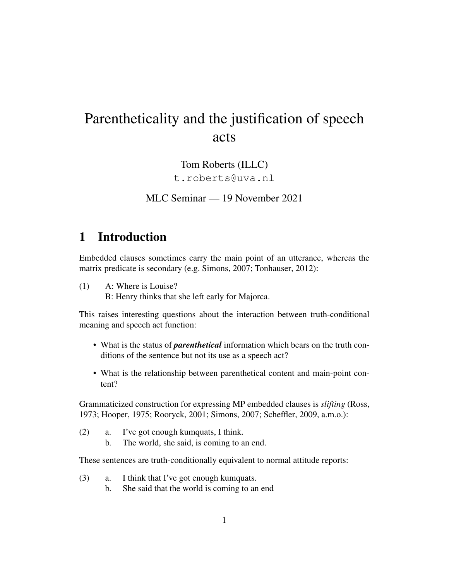# Parentheticality and the justification of speech acts

Tom Roberts (ILLC) t.roberts@uva.nl

MLC Seminar — 19 November 2021

## 1 Introduction

Embedded clauses sometimes carry the main point of an utterance, whereas the matrix predicate is secondary (e.g. Simons, 2007; Tonhauser, 2012):

(1) A: Where is Louise? B: Henry thinks that she left early for Majorca.

This raises interesting questions about the interaction between truth-conditional meaning and speech act function:

- What is the status of *parenthetical* information which bears on the truth conditions of the sentence but not its use as a speech act?
- What is the relationship between parenthetical content and main-point content?

Grammaticized construction for expressing MP embedded clauses is *slifting* (Ross, 1973; Hooper, 1975; Rooryck, 2001; Simons, 2007; Scheffler, 2009, a.m.o.):

- (2) a. I've got enough kumquats, I think.
	- b. The world, she said, is coming to an end.

These sentences are truth-conditionally equivalent to normal attitude reports:

- (3) a. I think that I've got enough kumquats.
	- b. She said that the world is coming to an end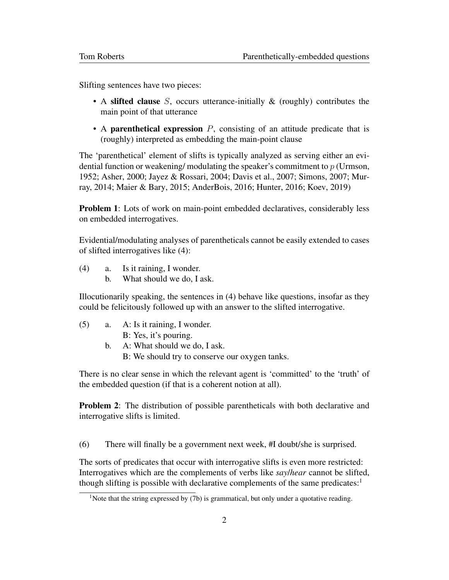Slifting sentences have two pieces:

- A slifted clause S, occurs utterance-initially  $\&$  (roughly) contributes the main point of that utterance
- A parenthetical expression  $P$ , consisting of an attitude predicate that is (roughly) interpreted as embedding the main-point clause

The 'parenthetical' element of slifts is typically analyzed as serving either an evidential function or weakening/modulating the speaker's commitment to  $p$  (Urmson, 1952; Asher, 2000; Jayez & Rossari, 2004; Davis et al., 2007; Simons, 2007; Murray, 2014; Maier & Bary, 2015; AnderBois, 2016; Hunter, 2016; Koev, 2019)

**Problem 1**: Lots of work on main-point embedded declaratives, considerably less on embedded interrogatives.

Evidential/modulating analyses of parentheticals cannot be easily extended to cases of slifted interrogatives like (4):

- (4) a. Is it raining, I wonder.
	- b. What should we do, I ask.

Illocutionarily speaking, the sentences in (4) behave like questions, insofar as they could be felicitously followed up with an answer to the slifted interrogative.

- (5) a. A: Is it raining, I wonder. B: Yes, it's pouring.
	- b. A: What should we do, I ask.
		- B: We should try to conserve our oxygen tanks.

There is no clear sense in which the relevant agent is 'committed' to the 'truth' of the embedded question (if that is a coherent notion at all).

**Problem 2:** The distribution of possible parentheticals with both declarative and interrogative slifts is limited.

(6) There will finally be a government next week, #I doubt/she is surprised.

The sorts of predicates that occur with interrogative slifts is even more restricted: Interrogatives which are the complements of verbs like *say*/*hear* cannot be slifted, though slifting is possible with declarative complements of the same predicates:<sup>1</sup>

<sup>&</sup>lt;sup>1</sup>Note that the string expressed by  $(7b)$  is grammatical, but only under a quotative reading.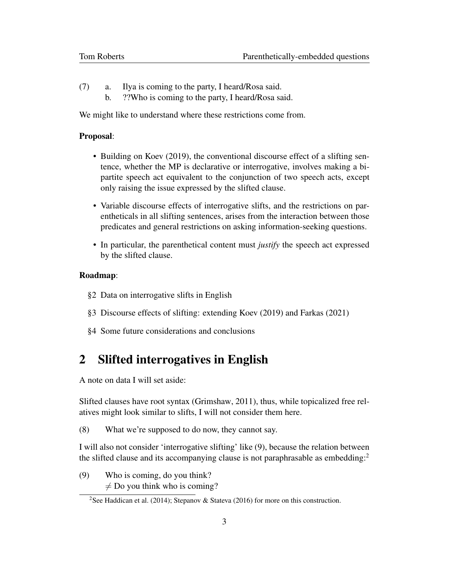- (7) a. Ilya is coming to the party, I heard/Rosa said.
	- b. ??Who is coming to the party, I heard/Rosa said.

We might like to understand where these restrictions come from.

#### Proposal:

- Building on Koev (2019), the conventional discourse effect of a slifting sentence, whether the MP is declarative or interrogative, involves making a bipartite speech act equivalent to the conjunction of two speech acts, except only raising the issue expressed by the slifted clause.
- Variable discourse effects of interrogative slifts, and the restrictions on parentheticals in all slifting sentences, arises from the interaction between those predicates and general restrictions on asking information-seeking questions.
- In particular, the parenthetical content must *justify* the speech act expressed by the slifted clause.

#### Roadmap:

- §2 Data on interrogative slifts in English
- §3 Discourse effects of slifting: extending Koev (2019) and Farkas (2021)
- §4 Some future considerations and conclusions

## 2 Slifted interrogatives in English

A note on data I will set aside:

Slifted clauses have root syntax (Grimshaw, 2011), thus, while topicalized free relatives might look similar to slifts, I will not consider them here.

(8) What we're supposed to do now, they cannot say.

I will also not consider 'interrogative slifting' like (9), because the relation between the slifted clause and its accompanying clause is not paraphrasable as embedding:<sup>2</sup>

(9) Who is coming, do you think?  $\neq$  Do you think who is coming?

<sup>&</sup>lt;sup>2</sup>See Haddican et al. (2014); Stepanov & Stateva (2016) for more on this construction.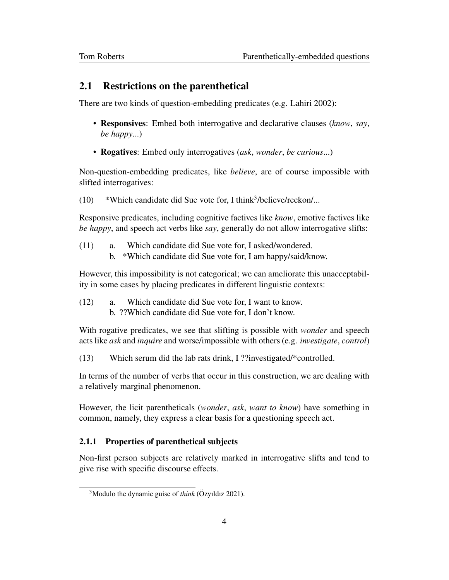### 2.1 Restrictions on the parenthetical

There are two kinds of question-embedding predicates (e.g. Lahiri 2002):

- Responsives: Embed both interrogative and declarative clauses (*know*, *say*, *be happy*...)
- Rogatives: Embed only interrogatives (*ask*, *wonder*, *be curious*...)

Non-question-embedding predicates, like *believe*, are of course impossible with slifted interrogatives:

 $(10)$  \*Which candidate did Sue vote for, I think<sup>3</sup>/believe/reckon/...

Responsive predicates, including cognitive factives like *know*, emotive factives like *be happy*, and speech act verbs like *say*, generally do not allow interrogative slifts:

- (11) a. Which candidate did Sue vote for, I asked/wondered.
	- b. \*Which candidate did Sue vote for, I am happy/said/know.

However, this impossibility is not categorical; we can ameliorate this unacceptability in some cases by placing predicates in different linguistic contexts:

(12) a. Which candidate did Sue vote for, I want to know. b. ??Which candidate did Sue vote for, I don't know.

With rogative predicates, we see that slifting is possible with *wonder* and speech acts like *ask* and *inquire* and worse/impossible with others (e.g. *investigate*, *control*)

(13) Which serum did the lab rats drink, I ??investigated/\*controlled.

In terms of the number of verbs that occur in this construction, we are dealing with a relatively marginal phenomenon.

However, the licit parentheticals (*wonder*, *ask*, *want to know*) have something in common, namely, they express a clear basis for a questioning speech act.

#### 2.1.1 Properties of parenthetical subjects

Non-first person subjects are relatively marked in interrogative slifts and tend to give rise with specific discourse effects.

 $3$ Modulo the dynamic guise of *think* ( $\ddot{O}$ zyıldız 2021).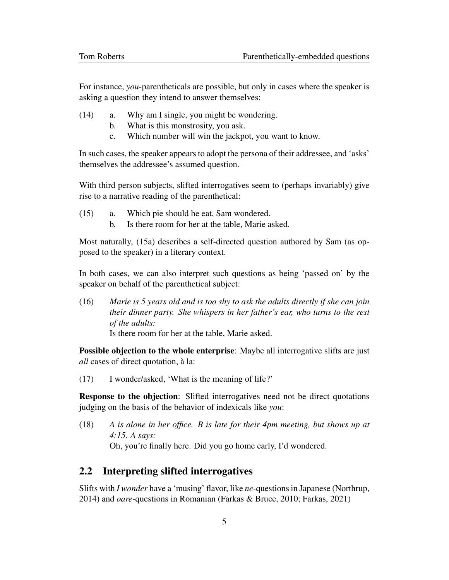For instance, *you*-parentheticals are possible, but only in cases where the speaker is asking a question they intend to answer themselves:

- (14) a. Why am I single, you might be wondering.
	- b. What is this monstrosity, you ask.
	- c. Which number will win the jackpot, you want to know.

In such cases, the speaker appears to adopt the persona of their addressee, and 'asks' themselves the addressee's assumed question.

With third person subjects, slifted interrogatives seem to (perhaps invariably) give rise to a narrative reading of the parenthetical:

- (15) a. Which pie should he eat, Sam wondered.
	- b. Is there room for her at the table, Marie asked.

Most naturally, (15a) describes a self-directed question authored by Sam (as opposed to the speaker) in a literary context.

In both cases, we can also interpret such questions as being 'passed on' by the speaker on behalf of the parenthetical subject:

(16) *Marie is 5 years old and is too shy to ask the adults directly if she can join their dinner party. She whispers in her father's ear, who turns to the rest of the adults:*

Is there room for her at the table, Marie asked.

Possible objection to the whole enterprise: Maybe all interrogative slifts are just *all* cases of direct quotation, a la: `

(17) I wonder/asked, 'What is the meaning of life?'

Response to the objection: Slifted interrogatives need not be direct quotations judging on the basis of the behavior of indexicals like *you*:

(18) *A is alone in her office. B is late for their 4pm meeting, but shows up at 4:15. A says:* Oh, you're finally here. Did you go home early, I'd wondered.

## 2.2 Interpreting slifted interrogatives

Slifts with *I wonder* have a 'musing' flavor, like *ne*-questions in Japanese (Northrup, 2014) and *oare*-questions in Romanian (Farkas & Bruce, 2010; Farkas, 2021)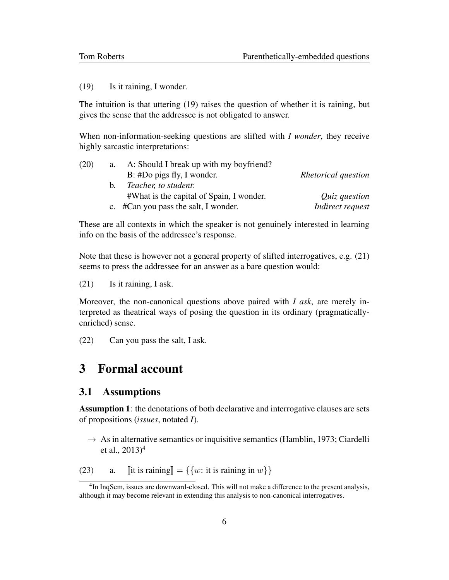(19) Is it raining, I wonder.

The intuition is that uttering (19) raises the question of whether it is raining, but gives the sense that the addressee is not obligated to answer.

When non-information-seeking questions are slifted with *I wonder*, they receive highly sarcastic interpretations:

| (20) | a.          | A: Should I break up with my boyfriend?  |                     |
|------|-------------|------------------------------------------|---------------------|
|      |             | B: #Do pigs fly, I wonder.               | Rhetorical question |
|      | $h_{\cdot}$ | Teacher, to student:                     |                     |
|      |             | #What is the capital of Spain, I wonder. | Quiz question       |
|      |             | c. #Can you pass the salt, I wonder.     | Indirect request    |

These are all contexts in which the speaker is not genuinely interested in learning info on the basis of the addressee's response.

Note that these is however not a general property of slifted interrogatives, e.g.  $(21)$ seems to press the addressee for an answer as a bare question would:

(21) Is it raining, I ask.

Moreover, the non-canonical questions above paired with *I ask*, are merely interpreted as theatrical ways of posing the question in its ordinary (pragmaticallyenriched) sense.

(22) Can you pass the salt, I ask.

## 3 Formal account

### 3.1 Assumptions

Assumption 1: the denotations of both declarative and interrogative clauses are sets of propositions (*issues*, notated *I*).

 $\rightarrow$  As in alternative semantics or inquisitive semantics (Hamblin, 1973; Ciardelli et al.,  $2013)^4$ 

(23) a.  $\left[\left|\text{it is raining}\right| = \left\{\left\{w: \text{it is raining in } w\right\}\right\}\right]$ 

<sup>&</sup>lt;sup>4</sup>In InqSem, issues are downward-closed. This will not make a difference to the present analysis, although it may become relevant in extending this analysis to non-canonical interrogatives.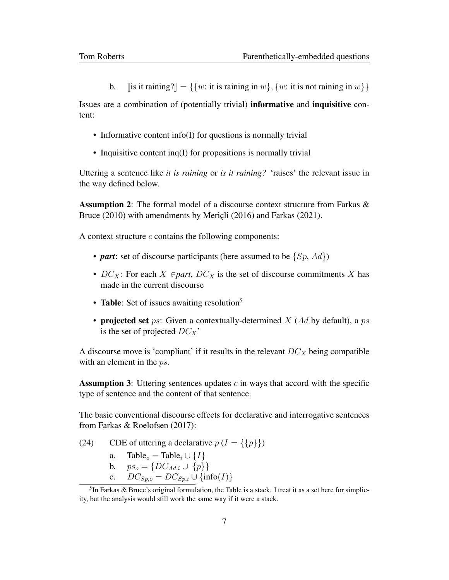b. [is it raining?] = { $\{w:$  it is raining in w},  $\{w:$  it is not raining in w}}

Issues are a combination of (potentially trivial) informative and inquisitive content:

- Informative content info(I) for questions is normally trivial
- Inquisitive content inq(I) for propositions is normally trivial

Uttering a sentence like *it is raining* or *is it raining?* 'raises' the relevant issue in the way defined below.

Assumption 2: The formal model of a discourse context structure from Farkas & Bruce (2010) with amendments by Mericli (2016) and Farkas (2021).

A context structure  $c$  contains the following components:

- *part*: set of discourse participants (here assumed to be  $\{Sp, Ad\}$ )
- $DC_X$ : For each  $X \in part$ ,  $DC_X$  is the set of discourse commitments X has made in the current discourse
- Table: Set of issues awaiting resolution<sup>5</sup>
- projected set ps: Given a contextually-determined  $X$  (Ad by default), a ps is the set of projected  $DC_X$ <sup>\*</sup>

A discourse move is 'compliant' if it results in the relevant  $DC<sub>X</sub>$  being compatible with an element in the *ps*.

**Assumption 3:** Uttering sentences updates  $c$  in ways that accord with the specific type of sentence and the content of that sentence.

The basic conventional discourse effects for declarative and interrogative sentences from Farkas & Roelofsen (2017):

- (24) CDE of uttering a declarative  $p(I = \{\{p\}\})$ 
	- a. Table<sub>o</sub> = Table<sub>i</sub> ∪  $\{I\}$
	- b.  $ps_o = \{DC_{Ad,i} \cup \{p\}\}\$
	- c.  $DC_{Sp,o} = DC_{Sp,i} \cup \{ \text{info}(I) \}$

<sup>&</sup>lt;sup>5</sup>In Farkas & Bruce's original formulation, the Table is a stack. I treat it as a set here for simplicity, but the analysis would still work the same way if it were a stack.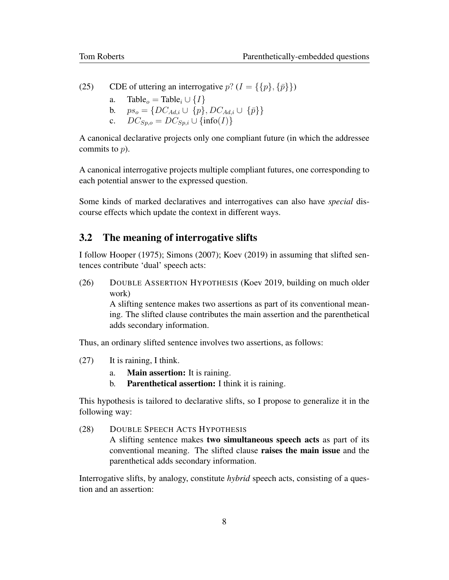(25) CDE of uttering an interrogative  $p? (I = \{\{p\}, \{\bar{p}\}\})$ 

- a. Table<sub>o</sub> = Table<sub>i</sub> ∪  $\{I\}$
- b.  $ps_o = \{DC_{Ad,i} \cup \{p\}, DC_{Ad,i} \cup \{\bar{p}\}\}\$
- c.  $DC_{Sp,o} = DC_{Sp,i} \cup \{ \text{info}(I) \}$

A canonical declarative projects only one compliant future (in which the addressee commits to  $p$ ).

A canonical interrogative projects multiple compliant futures, one corresponding to each potential answer to the expressed question.

Some kinds of marked declaratives and interrogatives can also have *special* discourse effects which update the context in different ways.

### 3.2 The meaning of interrogative slifts

I follow Hooper (1975); Simons (2007); Koev (2019) in assuming that slifted sentences contribute 'dual' speech acts:

(26) DOUBLE ASSERTION HYPOTHESIS (Koev 2019, building on much older work)

> A slifting sentence makes two assertions as part of its conventional meaning. The slifted clause contributes the main assertion and the parenthetical adds secondary information.

Thus, an ordinary slifted sentence involves two assertions, as follows:

- (27) It is raining, I think.
	- a. Main assertion: It is raining.
	- b. Parenthetical assertion: I think it is raining.

This hypothesis is tailored to declarative slifts, so I propose to generalize it in the following way:

(28) DOUBLE SPEECH ACTS HYPOTHESIS A slifting sentence makes two simultaneous speech acts as part of its conventional meaning. The slifted clause raises the main issue and the parenthetical adds secondary information.

Interrogative slifts, by analogy, constitute *hybrid* speech acts, consisting of a question and an assertion: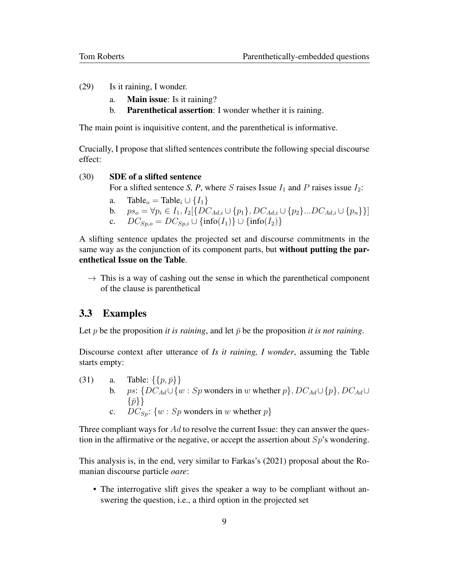- (29) Is it raining, I wonder.
	- a. Main issue: Is it raining?
	- b. Parenthetical assertion: I wonder whether it is raining.

The main point is inquisitive content, and the parenthetical is informative.

Crucially, I propose that slifted sentences contribute the following special discourse effect:

#### (30) SDE of a slifted sentence

For a slifted sentence *S, P*, where *S* raises Issue  $I_1$  and *P* raises issue  $I_2$ :

- a. Table<sub>o</sub> = Table<sub>i</sub> ∪  $\{I_1\}$
- b.  $ps_o = \forall p_i \in I_1, I_2[\{DC_{Ad,i} \cup \{p_1\}, DC_{Ad,i} \cup \{p_2\}...DC_{Ad,i} \cup \{p_n\}\}]$
- c.  $DC_{Sp,o} = DC_{Sp,i} \cup \{ \text{info}(I_1) \} \cup \{ \text{info}(I_2) \}$

A slifting sentence updates the projected set and discourse commitments in the same way as the conjunction of its component parts, but without putting the parenthetical Issue on the Table.

 $\rightarrow$  This is a way of cashing out the sense in which the parenthetical component of the clause is parenthetical

#### 3.3 Examples

Let p be the proposition *it is raining*, and let  $\bar{p}$  be the proposition *it is not raining*.

Discourse context after utterance of *Is it raining, I wonder*, assuming the Table starts empty:

(31) a. Table:  $\{\{p,\bar{p}\}\}\$ b. ps: { $DC_{Ad} \cup \{w : Sp$  wonders in w whether  $p\}$ ,  $DC_{Ad} \cup \{p\}$ ,  $DC_{Ad} \cup$  $\{\bar{p}\}\}\$ c.  $DC_{Sp}: \{w : Sp \text{ wonders in } w \text{ whether } p\}$ 

Three compliant ways for  $Ad$  to resolve the current Issue: they can answer the question in the affirmative or the negative, or accept the assertion about  $Sp$ 's wondering.

This analysis is, in the end, very similar to Farkas's (2021) proposal about the Romanian discourse particle *oare*:

• The interrogative slift gives the speaker a way to be compliant without answering the question, i.e., a third option in the projected set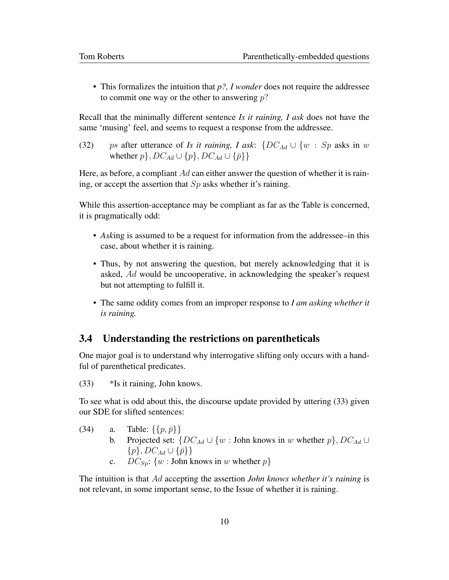• This formalizes the intuition that *p?, I wonder* does not require the addressee to commit one way or the other to answering  $p$ ?

Recall that the minimally different sentence *Is it raining, I ask* does not have the same 'musing' feel, and seems to request a response from the addressee.

(32) ps after utterance of *Is it raining, I ask*:  $\{DC_{Ad} \cup \{w : Sp \text{ asks in } w\}$ whether  $p\}$ ,  $DC_{Ad} \cup \{p\}$ ,  $DC_{Ad} \cup \{\bar{p}\}\$ 

Here, as before, a compliant  $Ad$  can either answer the question of whether it is raining, or accept the assertion that  $Sp$  asks whether it's raining.

While this assertion-acceptance may be compliant as far as the Table is concerned, it is pragmatically odd:

- *Ask*ing is assumed to be a request for information from the addressee–in this case, about whether it is raining.
- Thus, by not answering the question, but merely acknowledging that it is asked, Ad would be uncooperative, in acknowledging the speaker's request but not attempting to fulfill it.
- The same oddity comes from an improper response to *I am asking whether it is raining.*

### 3.4 Understanding the restrictions on parentheticals

One major goal is to understand why interrogative slifting only occurs with a handful of parenthetical predicates.

(33) \*Is it raining, John knows.

To see what is odd about this, the discourse update provided by uttering (33) given our SDE for slifted sentences:

- (34) a. Table:  $\{ \{p, \bar{p}\} \}$ b. Projected set:  $\{DC_{Ad} \cup \{w : \text{John knows in } w \text{ whether } p\}, DC_{Ad} \cup$  $\{p\}, DC_{Ad} \cup \{\bar{p}\}\}\$ 
	- c.  $DC_{Sp}: \{w : \text{John knows in } w \text{ whether } p\}$

The intuition is that Ad accepting the assertion *John knows whether it's raining* is not relevant, in some important sense, to the Issue of whether it is raining.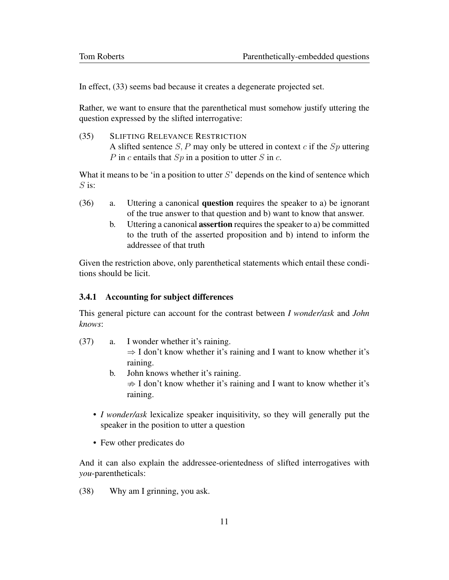In effect, (33) seems bad because it creates a degenerate projected set.

Rather, we want to ensure that the parenthetical must somehow justify uttering the question expressed by the slifted interrogative:

(35) SLIFTING RELEVANCE RESTRICTION A slifted sentence  $S$ , P may only be uttered in context  $c$  if the  $Sp$  uttering P in c entails that  $Sp$  in a position to utter S in c.

What it means to be 'in a position to utter  $S'$  depends on the kind of sentence which  $S$  is:

- (36) a. Uttering a canonical question requires the speaker to a) be ignorant of the true answer to that question and b) want to know that answer.
	- b. Uttering a canonical assertion requires the speaker to a) be committed to the truth of the asserted proposition and b) intend to inform the addressee of that truth

Given the restriction above, only parenthetical statements which entail these conditions should be licit.

#### 3.4.1 Accounting for subject differences

This general picture can account for the contrast between *I wonder/ask* and *John knows*:

- (37) a. I wonder whether it's raining.  $\Rightarrow$  I don't know whether it's raining and I want to know whether it's raining.
	- b. John knows whether it's raining.  $\Rightarrow$  I don't know whether it's raining and I want to know whether it's raining.
	- *I wonder/ask* lexicalize speaker inquisitivity, so they will generally put the speaker in the position to utter a question
	- Few other predicates do

And it can also explain the addressee-orientedness of slifted interrogatives with *you*-parentheticals:

(38) Why am I grinning, you ask.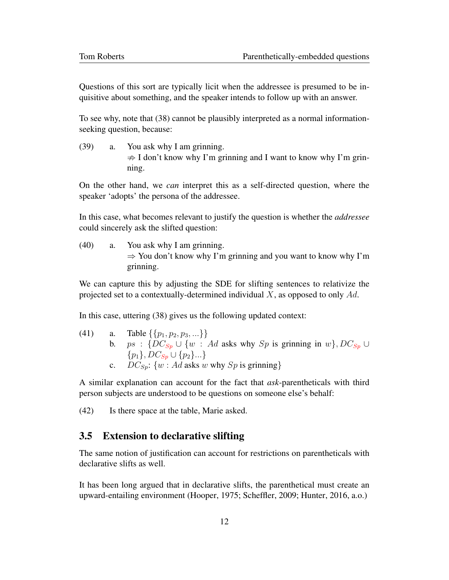Questions of this sort are typically licit when the addressee is presumed to be inquisitive about something, and the speaker intends to follow up with an answer.

To see why, note that (38) cannot be plausibly interpreted as a normal informationseeking question, because:

(39) a. You ask why I am grinning.  $\Rightarrow$  I don't know why I'm grinning and I want to know why I'm grinning.

On the other hand, we *can* interpret this as a self-directed question, where the speaker 'adopts' the persona of the addressee.

In this case, what becomes relevant to justify the question is whether the *addressee* could sincerely ask the slifted question:

(40) a. You ask why I am grinning.  $\Rightarrow$  You don't know why I'm grinning and you want to know why I'm grinning.

We can capture this by adjusting the SDE for slifting sentences to relativize the projected set to a contextually-determined individual  $X$ , as opposed to only  $Ad$ .

In this case, uttering (38) gives us the following updated context:

(41) a. Table  $\{\{p_1, p_2, p_3, ...\}$ b. ps :  $\{DC_{Sp} \cup \{w : Ad \text{ asks why } Sp \text{ is grinning in } w\}, DC_{Sp} \cup$  ${p_1}, DC_{S_p} \cup {p_2} \dots$ c.  $DC_{S_p}$ : {w : Ad asks w why  $Sp$  is grinning}

A similar explanation can account for the fact that *ask*-parentheticals with third person subjects are understood to be questions on someone else's behalf:

(42) Is there space at the table, Marie asked.

### 3.5 Extension to declarative slifting

The same notion of justification can account for restrictions on parentheticals with declarative slifts as well.

It has been long argued that in declarative slifts, the parenthetical must create an upward-entailing environment (Hooper, 1975; Scheffler, 2009; Hunter, 2016, a.o.)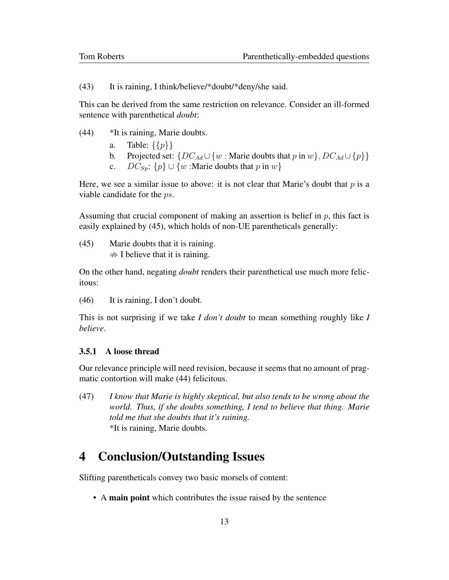(43) It is raining, I think/believe/\*doubt/\*deny/she said.

This can be derived from the same restriction on relevance. Consider an ill-formed sentence with parenthetical *doubt*:

- (44) \*It is raining, Marie doubts.
	- a. Table:  $\{\{p\}\}\$
	- b. Projected set:  $\{DC_{Ad} \cup \{w : \text{Marie doubts that } p \text{ in } w\}, DC_{Ad} \cup \{p\}\}\$
	- c.  $DC_{Sn}: \{p\} \cup \{w : \text{Marie doubts that } p \text{ in } w\}$

Here, we see a similar issue to above: it is not clear that Marie's doubt that  $p$  is a viable candidate for the ps.

Assuming that crucial component of making an assertion is belief in  $p$ , this fact is easily explained by (45), which holds of non-UE parentheticals generally:

(45) Marie doubts that it is raining.  $\Rightarrow$  I believe that it is raining.

On the other hand, negating *doubt* renders their parenthetical use much more felicitous:

(46) It is raining, I don't doubt.

This is not surprising if we take *I don't doubt* to mean something roughly like *I believe*.

#### 3.5.1 A loose thread

Our relevance principle will need revision, because it seems that no amount of pragmatic contortion will make (44) felicitous.

(47) *I know that Marie is highly skeptical, but also tends to be wrong about the world. Thus, if she doubts something, I tend to believe that thing. Marie told me that she doubts that it's raining.* \*It is raining, Marie doubts.

## 4 Conclusion/Outstanding Issues

Slifting parentheticals convey two basic morsels of content:

• A main point which contributes the issue raised by the sentence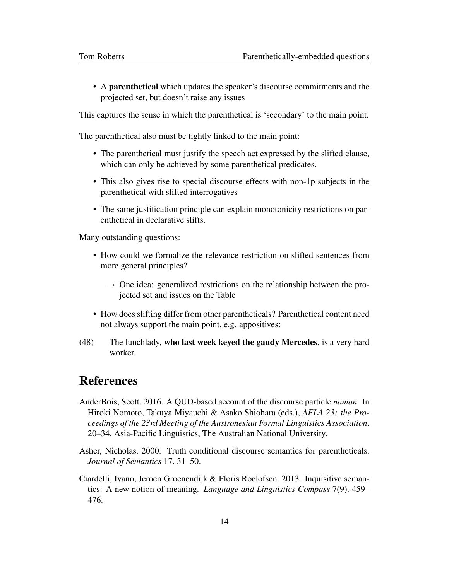• A parenthetical which updates the speaker's discourse commitments and the projected set, but doesn't raise any issues

This captures the sense in which the parenthetical is 'secondary' to the main point.

The parenthetical also must be tightly linked to the main point:

- The parenthetical must justify the speech act expressed by the slifted clause, which can only be achieved by some parenthetical predicates.
- This also gives rise to special discourse effects with non-1p subjects in the parenthetical with slifted interrogatives
- The same justification principle can explain monotonicity restrictions on parenthetical in declarative slifts.

Many outstanding questions:

- How could we formalize the relevance restriction on slifted sentences from more general principles?
	- $\rightarrow$  One idea: generalized restrictions on the relationship between the projected set and issues on the Table
- How does slifting differ from other parentheticals? Parenthetical content need not always support the main point, e.g. appositives:
- (48) The lunchlady, who last week keyed the gaudy Mercedes, is a very hard worker.

## References

- AnderBois, Scott. 2016. A QUD-based account of the discourse particle *naman*. In Hiroki Nomoto, Takuya Miyauchi & Asako Shiohara (eds.), *AFLA 23: the Proceedings of the 23rd Meeting of the Austronesian Formal Linguistics Association*, 20–34. Asia-Pacific Linguistics, The Australian National University.
- Asher, Nicholas. 2000. Truth conditional discourse semantics for parentheticals. *Journal of Semantics* 17. 31–50.
- Ciardelli, Ivano, Jeroen Groenendijk & Floris Roelofsen. 2013. Inquisitive semantics: A new notion of meaning. *Language and Linguistics Compass* 7(9). 459– 476.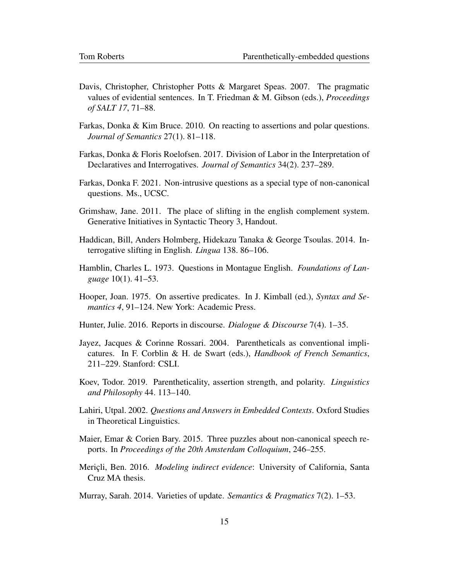- Davis, Christopher, Christopher Potts & Margaret Speas. 2007. The pragmatic values of evidential sentences. In T. Friedman & M. Gibson (eds.), *Proceedings of SALT 17*, 71–88.
- Farkas, Donka & Kim Bruce. 2010. On reacting to assertions and polar questions. *Journal of Semantics* 27(1). 81–118.
- Farkas, Donka & Floris Roelofsen. 2017. Division of Labor in the Interpretation of Declaratives and Interrogatives. *Journal of Semantics* 34(2). 237–289.
- Farkas, Donka F. 2021. Non-intrusive questions as a special type of non-canonical questions. Ms., UCSC.
- Grimshaw, Jane. 2011. The place of slifting in the english complement system. Generative Initiatives in Syntactic Theory 3, Handout.
- Haddican, Bill, Anders Holmberg, Hidekazu Tanaka & George Tsoulas. 2014. Interrogative slifting in English. *Lingua* 138. 86–106.
- Hamblin, Charles L. 1973. Questions in Montague English. *Foundations of Language* 10(1). 41–53.
- Hooper, Joan. 1975. On assertive predicates. In J. Kimball (ed.), *Syntax and Semantics 4*, 91–124. New York: Academic Press.
- Hunter, Julie. 2016. Reports in discourse. *Dialogue & Discourse* 7(4). 1–35.
- Jayez, Jacques & Corinne Rossari. 2004. Parentheticals as conventional implicatures. In F. Corblin & H. de Swart (eds.), *Handbook of French Semantics*, 211–229. Stanford: CSLI.
- Koev, Todor. 2019. Parentheticality, assertion strength, and polarity. *Linguistics and Philosophy* 44. 113–140.
- Lahiri, Utpal. 2002. *Questions and Answers in Embedded Contexts*. Oxford Studies in Theoretical Linguistics.
- Maier, Emar & Corien Bary. 2015. Three puzzles about non-canonical speech reports. In *Proceedings of the 20th Amsterdam Colloquium*, 246–255.
- Mericli, Ben. 2016. *Modeling indirect evidence*: University of California, Santa Cruz MA thesis.
- Murray, Sarah. 2014. Varieties of update. *Semantics & Pragmatics* 7(2). 1–53.